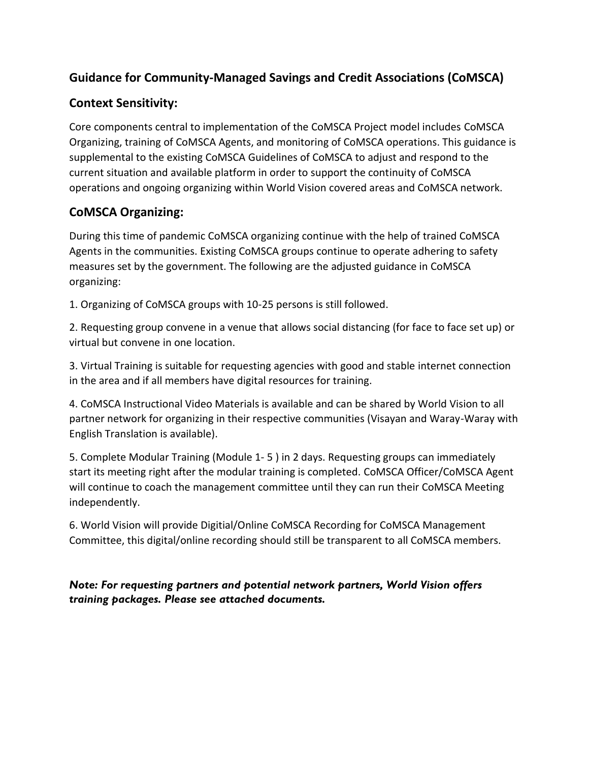# **Guidance for Community-Managed Savings and Credit Associations (CoMSCA)**

## **Context Sensitivity:**

Core components central to implementation of the CoMSCA Project model includes CoMSCA Organizing, training of CoMSCA Agents, and monitoring of CoMSCA operations. This guidance is supplemental to the existing CoMSCA Guidelines of CoMSCA to adjust and respond to the current situation and available platform in order to support the continuity of CoMSCA operations and ongoing organizing within World Vision covered areas and CoMSCA network.

## **CoMSCA Organizing:**

During this time of pandemic CoMSCA organizing continue with the help of trained CoMSCA Agents in the communities. Existing CoMSCA groups continue to operate adhering to safety measures set by the government. The following are the adjusted guidance in CoMSCA organizing:

1. Organizing of CoMSCA groups with 10-25 persons is still followed.

2. Requesting group convene in a venue that allows social distancing (for face to face set up) or virtual but convene in one location.

3. Virtual Training is suitable for requesting agencies with good and stable internet connection in the area and if all members have digital resources for training.

4. CoMSCA Instructional Video Materials is available and can be shared by World Vision to all partner network for organizing in their respective communities (Visayan and Waray-Waray with English Translation is available).

5. Complete Modular Training (Module 1- 5 ) in 2 days. Requesting groups can immediately start its meeting right after the modular training is completed. CoMSCA Officer/CoMSCA Agent will continue to coach the management committee until they can run their CoMSCA Meeting independently.

6. World Vision will provide Digitial/Online CoMSCA Recording for CoMSCA Management Committee, this digital/online recording should still be transparent to all CoMSCA members.

## *Note: For requesting partners and potential network partners, World Vision offers training packages. Please see attached documents.*